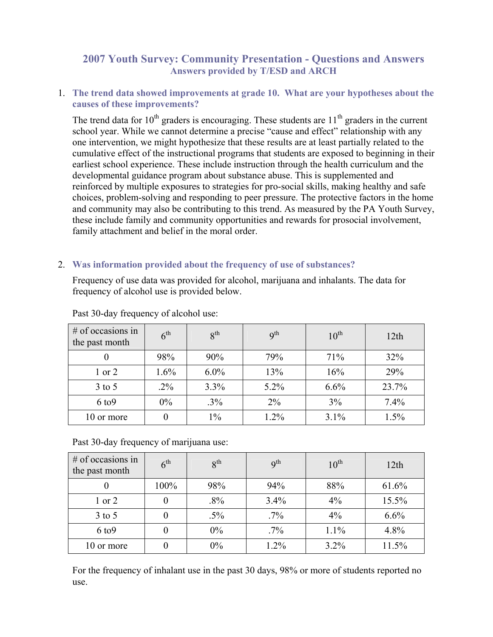# **2007 Youth Survey: Community Presentation - Questions and Answers Answers provided by T/ESD and ARCH**

1. **The trend data showed improvements at grade 10. What are your hypotheses about the causes of these improvements?** 

The trend data for  $10<sup>th</sup>$  graders is encouraging. These students are  $11<sup>th</sup>$  graders in the current school year. While we cannot determine a precise "cause and effect" relationship with any one intervention, we might hypothesize that these results are at least partially related to the cumulative effect of the instructional programs that students are exposed to beginning in their earliest school experience. These include instruction through the health curriculum and the developmental guidance program about substance abuse. This is supplemented and reinforced by multiple exposures to strategies for pro-social skills, making healthy and safe choices, problem-solving and responding to peer pressure. The protective factors in the home and community may also be contributing to this trend. As measured by the PA Youth Survey, these include family and community opportunities and rewards for prosocial involvement, family attachment and belief in the moral order.

## 2. **Was information provided about the frequency of use of substances?**

Frequency of use data was provided for alcohol, marijuana and inhalants. The data for frequency of alcohol use is provided below.

| # of occasions in<br>the past month | 6 <sup>th</sup> | 8 <sup>th</sup> | q <sup>th</sup> | $10^{th}$ | 12th  |
|-------------------------------------|-----------------|-----------------|-----------------|-----------|-------|
|                                     | 98%             | 90%             | 79%             | 71%       | 32%   |
| $1$ or $2$                          | 1.6%            | $6.0\%$         | 13%             | 16%       | 29%   |
| $3$ to 5                            | $.2\%$          | 3.3%            | $5.2\%$         | 6.6%      | 23.7% |
| $6$ to $9$                          | $0\%$           | $.3\%$          | $2\%$           | 3%        | 7.4%  |
| 10 or more                          | 0               | $1\%$           | 1.2%            | 3.1%      | 1.5%  |

Past 30-day frequency of alcohol use:

Past 30-day frequency of marijuana use:

| $#$ of occasions in<br>the past month | 6 <sup>th</sup> | 8 <sup>th</sup> | q <sup>th</sup> | $10^{\text{th}}$ | 12th  |
|---------------------------------------|-----------------|-----------------|-----------------|------------------|-------|
|                                       | 100%            | 98%             | 94%             | 88%              | 61.6% |
| $1$ or $2$                            | 0               | $.8\%$          | 3.4%            | 4%               | 15.5% |
| $3$ to $5$                            | 0               | $.5\%$          | $.7\%$          | 4%               | 6.6%  |
| $6$ to $9$                            | 0               | 0%              | $.7\%$          | 1.1%             | 4.8%  |
| 10 or more                            | 0               | $0\%$           | 1.2%            | 3.2%             | 11.5% |

For the frequency of inhalant use in the past 30 days, 98% or more of students reported no use.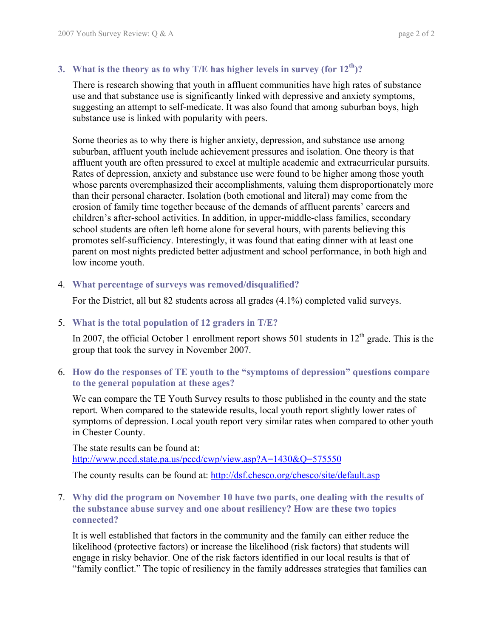# **3. What is the theory as to why T/E has higher levels in survey (for 12th)?**

There is research showing that youth in affluent communities have high rates of substance use and that substance use is significantly linked with depressive and anxiety symptoms, suggesting an attempt to self-medicate. It was also found that among suburban boys, high substance use is linked with popularity with peers.

Some theories as to why there is higher anxiety, depression, and substance use among suburban, affluent youth include achievement pressures and isolation. One theory is that affluent youth are often pressured to excel at multiple academic and extracurricular pursuits. Rates of depression, anxiety and substance use were found to be higher among those youth whose parents overemphasized their accomplishments, valuing them disproportionately more than their personal character. Isolation (both emotional and literal) may come from the erosion of family time together because of the demands of affluent parents' careers and children's after-school activities. In addition, in upper-middle-class families, secondary school students are often left home alone for several hours, with parents believing this promotes self-sufficiency. Interestingly, it was found that eating dinner with at least one parent on most nights predicted better adjustment and school performance, in both high and low income youth.

## 4. **What percentage of surveys was removed/disqualified?**

For the District, all but 82 students across all grades (4.1%) completed valid surveys.

# 5. **What is the total population of 12 graders in T/E?**

In 2007, the official October 1 enrollment report shows 501 students in  $12<sup>th</sup>$  grade. This is the group that took the survey in November 2007.

## 6. **How do the responses of TE youth to the "symptoms of depression" questions compare to the general population at these ages?**

We can compare the TE Youth Survey results to those published in the county and the state report. When compared to the statewide results, local youth report slightly lower rates of symptoms of depression. Local youth report very similar rates when compared to other youth in Chester County.

The state results can be found at: http://www.pccd.state.pa.us/pccd/cwp/view.asp?A=1430&Q=575550

The county results can be found at: http://dsf.chesco.org/chesco/site/default.asp

## 7. **Why did the program on November 10 have two parts, one dealing with the results of the substance abuse survey and one about resiliency? How are these two topics connected?**

It is well established that factors in the community and the family can either reduce the likelihood (protective factors) or increase the likelihood (risk factors) that students will engage in risky behavior. One of the risk factors identified in our local results is that of "family conflict." The topic of resiliency in the family addresses strategies that families can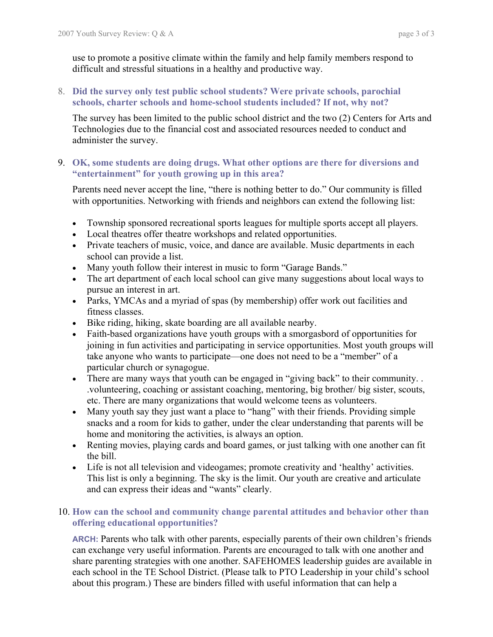use to promote a positive climate within the family and help family members respond to difficult and stressful situations in a healthy and productive way.

# 8. **Did the survey only test public school students? Were private schools, parochial schools, charter schools and home-school students included? If not, why not?**

The survey has been limited to the public school district and the two (2) Centers for Arts and Technologies due to the financial cost and associated resources needed to conduct and administer the survey.

## 9. **OK, some students are doing drugs. What other options are there for diversions and "entertainment" for youth growing up in this area?**

Parents need never accept the line, "there is nothing better to do." Our community is filled with opportunities. Networking with friends and neighbors can extend the following list:

- Township sponsored recreational sports leagues for multiple sports accept all players.
- Local theatres offer theatre workshops and related opportunities.
- Private teachers of music, voice, and dance are available. Music departments in each school can provide a list.
- Many youth follow their interest in music to form "Garage Bands."
- The art department of each local school can give many suggestions about local ways to pursue an interest in art.
- Parks, YMCAs and a myriad of spas (by membership) offer work out facilities and fitness classes.
- Bike riding, hiking, skate boarding are all available nearby.
- Faith-based organizations have youth groups with a smorgasbord of opportunities for joining in fun activities and participating in service opportunities. Most youth groups will take anyone who wants to participate—one does not need to be a "member" of a particular church or synagogue.
- There are many ways that youth can be engaged in "giving back" to their community... .volunteering, coaching or assistant coaching, mentoring, big brother/ big sister, scouts, etc. There are many organizations that would welcome teens as volunteers.
- Many youth say they just want a place to "hang" with their friends. Providing simple snacks and a room for kids to gather, under the clear understanding that parents will be home and monitoring the activities, is always an option.
- Renting movies, playing cards and board games, or just talking with one another can fit the bill.
- Life is not all television and videogames; promote creativity and 'healthy' activities. This list is only a beginning. The sky is the limit. Our youth are creative and articulate and can express their ideas and "wants" clearly.

# 10. **How can the school and community change parental attitudes and behavior other than offering educational opportunities?**

**ARCH:** Parents who talk with other parents, especially parents of their own children's friends can exchange very useful information. Parents are encouraged to talk with one another and share parenting strategies with one another. SAFEHOMES leadership guides are available in each school in the TE School District. (Please talk to PTO Leadership in your child's school about this program.) These are binders filled with useful information that can help a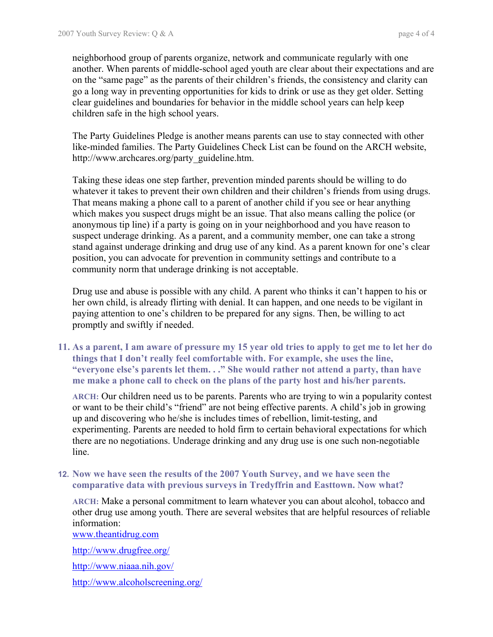neighborhood group of parents organize, network and communicate regularly with one another. When parents of middle-school aged youth are clear about their expectations and are on the "same page" as the parents of their children's friends, the consistency and clarity can go a long way in preventing opportunities for kids to drink or use as they get older. Setting clear guidelines and boundaries for behavior in the middle school years can help keep children safe in the high school years.

The Party Guidelines Pledge is another means parents can use to stay connected with other like-minded families. The Party Guidelines Check List can be found on the ARCH website, http://www.archcares.org/party\_guideline.htm.

Taking these ideas one step farther, prevention minded parents should be willing to do whatever it takes to prevent their own children and their children's friends from using drugs. That means making a phone call to a parent of another child if you see or hear anything which makes you suspect drugs might be an issue. That also means calling the police (or anonymous tip line) if a party is going on in your neighborhood and you have reason to suspect underage drinking. As a parent, and a community member, one can take a strong stand against underage drinking and drug use of any kind. As a parent known for one's clear position, you can advocate for prevention in community settings and contribute to a community norm that underage drinking is not acceptable.

Drug use and abuse is possible with any child. A parent who thinks it can't happen to his or her own child, is already flirting with denial. It can happen, and one needs to be vigilant in paying attention to one's children to be prepared for any signs. Then, be willing to act promptly and swiftly if needed.

**11. As a parent, I am aware of pressure my 15 year old tries to apply to get me to let her do things that I don't really feel comfortable with. For example, she uses the line, "everyone else's parents let them. . ." She would rather not attend a party, than have me make a phone call to check on the plans of the party host and his/her parents.** 

**ARCH:** Our children need us to be parents. Parents who are trying to win a popularity contest or want to be their child's "friend" are not being effective parents. A child's job in growing up and discovering who he/she is includes times of rebellion, limit-testing, and experimenting. Parents are needed to hold firm to certain behavioral expectations for which there are no negotiations. Underage drinking and any drug use is one such non-negotiable line.

## **12. Now we have seen the results of the 2007 Youth Survey, and we have seen the comparative data with previous surveys in Tredyffrin and Easttown. Now what?**

**ARCH:** Make a personal commitment to learn whatever you can about alcohol, tobacco and other drug use among youth. There are several websites that are helpful resources of reliable information:

www.theantidrug.com

http://www.drugfree.org/

http://www.niaaa.nih.gov/

http://www.alcoholscreening.org/